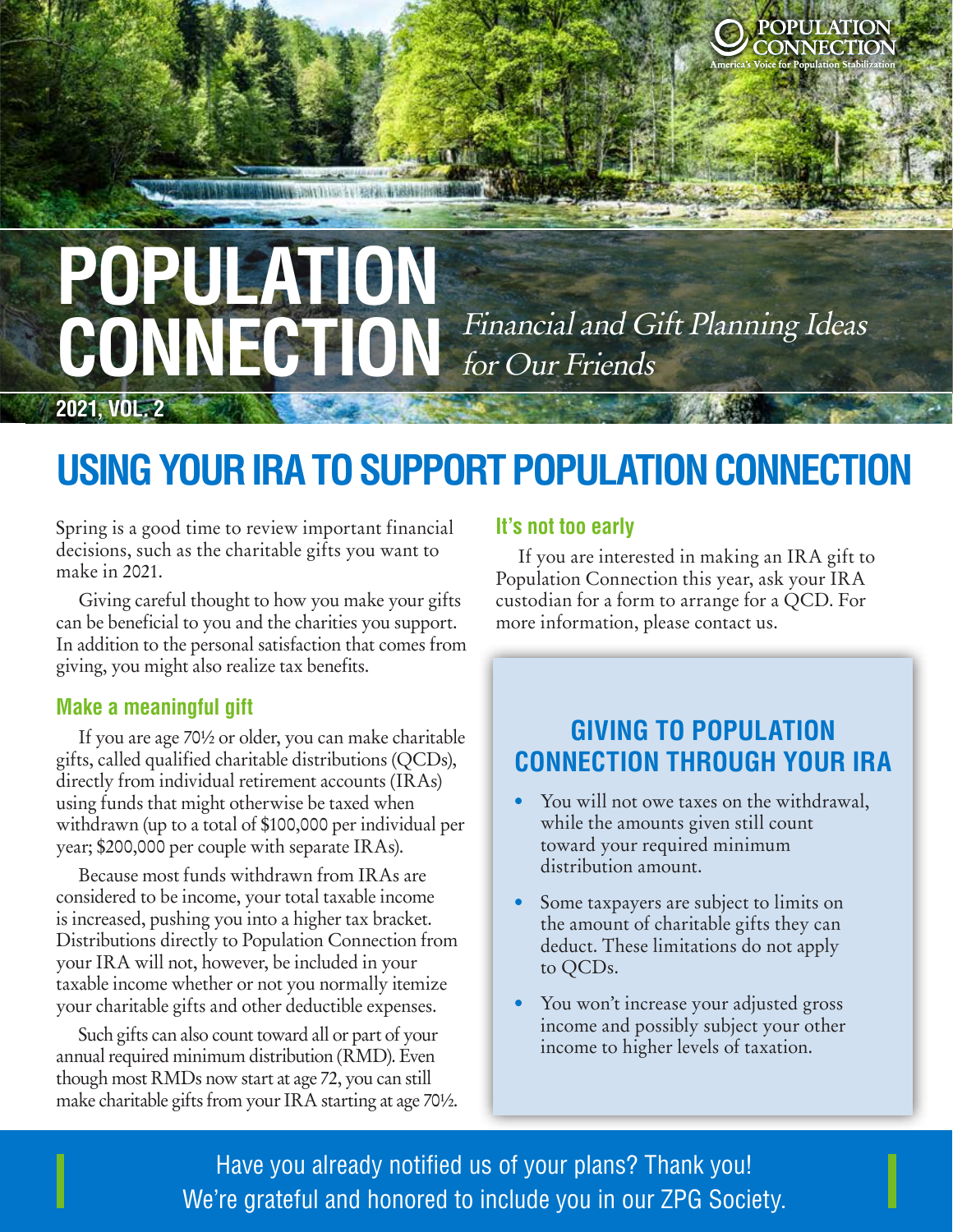# **POPULATION**<br>CONINITOTION Financial and Gift Planning Ideas CONNECTION Financial and Gift Planning Ideas for Our Friends

WWW.com/Thus: Evillages. Evillages of those

### **USING YOUR IRA TO SUPPORT POPULATION CONNECTION**

Spring is a good time to review important financial decisions, such as the charitable gifts you want to make in 2021.

Giving careful thought to how you make your gifts can be beneficial to you and the charities you support. In addition to the personal satisfaction that comes from giving, you might also realize tax benefits.

### **Make a meaningful gift**

**2021, VOL. 2**

If you are age 70½ or older, you can make charitable gifts, called qualified charitable distributions (QCDs), directly from individual retirement accounts (IRAs) using funds that might otherwise be taxed when withdrawn (up to a total of \$100,000 per individual per year; \$200,000 per couple with separate IRAs).

Because most funds withdrawn from IRAs are considered to be income, your total taxable income is increased, pushing you into a higher tax bracket. Distributions directly to Population Connection from your IRA will not, however, be included in your taxable income whether or not you normally itemize your charitable gifts and other deductible expenses.

Such gifts can also count toward all or part of your annual required minimum distribution (RMD). Even though most RMDs now start at age 72, you can still make charitable gifts from your IRA starting at age 70½.

#### **It's not too early**

If you are interested in making an IRA gift to Population Connection this year, ask your IRA custodian for a form to arrange for a QCD. For more information, please contact us.

Locked

**SINFCTIC** 

### **GIVING TO POPULATION CONNECTION THROUGH YOUR IRA**

- You will not owe taxes on the withdrawal, while the amounts given still count toward your required minimum distribution amount.
- Some taxpayers are subject to limits on the amount of charitable gifts they can deduct. These limitations do not apply to QCDs.
- You won't increase your adjusted gross income and possibly subject your other income to higher levels of taxation.

 $\blacksquare$ Ercilique voloris sam dolorum verum ilibus, voloris sam dolorum verum ilibus, v  $\blacksquare$  Have you already notified us of your plans? Thank you!  $\blacksquare$  We're grateful and honored to include you in our ZPG Society.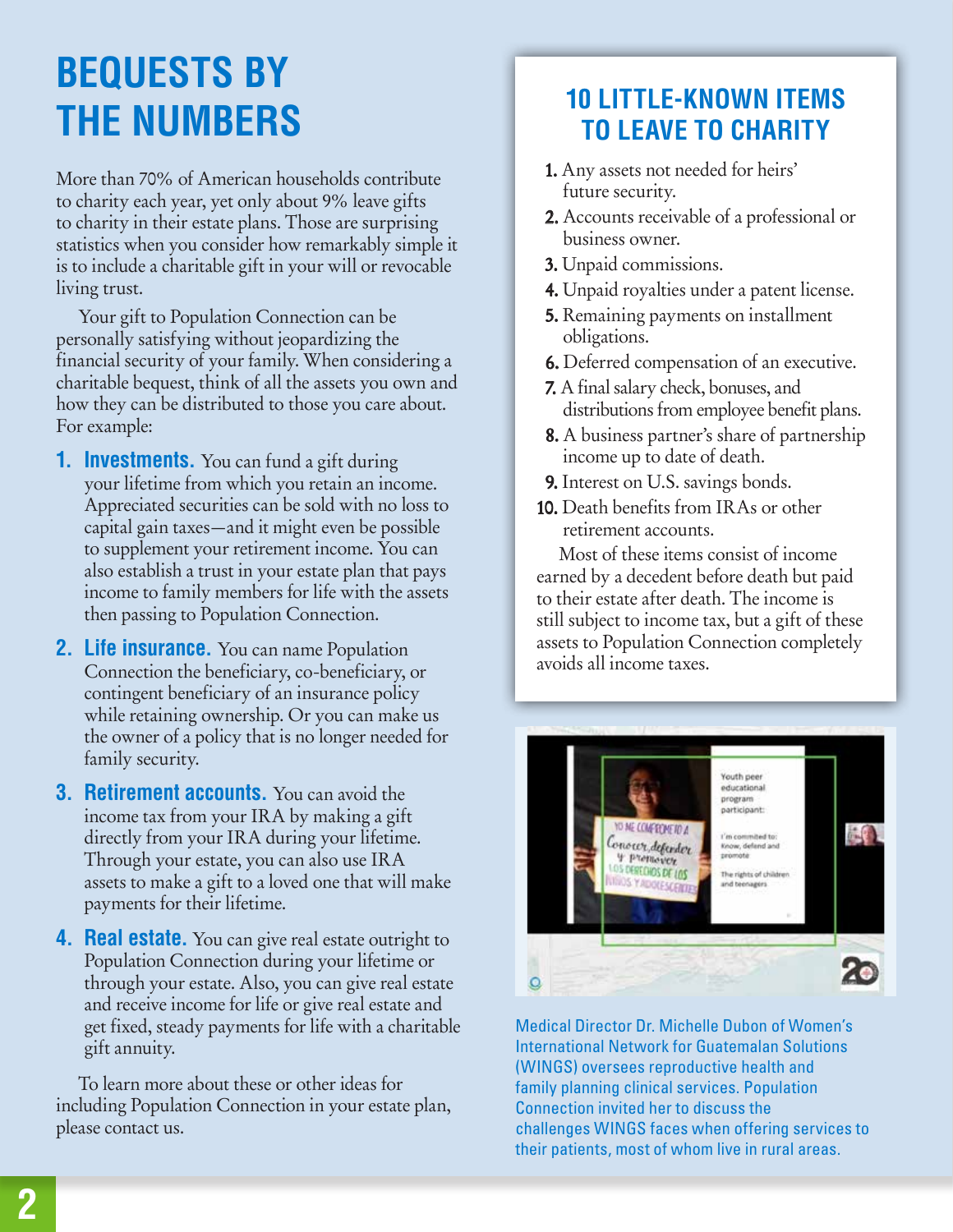## **BEQUESTS BY THE NUMBERS**

More than 70% of American households contribute to charity each year, yet only about 9% leave gifts to charity in their estate plans. Those are surprising statistics when you consider how remarkably simple it is to include a charitable gift in your will or revocable living trust.

Your gift to Population Connection can be personally satisfying without jeopardizing the financial security of your family. When considering a charitable bequest, think of all the assets you own and how they can be distributed to those you care about. For example:

- **1. Investments.** You can fund a gift during your lifetime from which you retain an income. Appreciated securities can be sold with no loss to capital gain taxes—and it might even be possible to supplement your retirement income. You can also establish a trust in your estate plan that pays income to family members for life with the assets then passing to Population Connection.
- **2. Life insurance.** You can name Population Connection the beneficiary, co-beneficiary, or contingent beneficiary of an insurance policy while retaining ownership. Or you can make us the owner of a policy that is no longer needed for family security.
- **3. Retirement accounts.** You can avoid the income tax from your IRA by making a gift directly from your IRA during your lifetime. Through your estate, you can also use IRA assets to make a gift to a loved one that will make payments for their lifetime.
- **4. Real estate.** You can give real estate outright to Population Connection during your lifetime or through your estate. Also, you can give real estate and receive income for life or give real estate and get fixed, steady payments for life with a charitable gift annuity.

To learn more about these or other ideas for including Population Connection in your estate plan, please contact us.

### **10 LITTLE-KNOWN ITEMS TO LEAVE TO CHARITY**

- 1. Any assets not needed for heirs' future security.
- 2. Accounts receivable of a professional or business owner.
- 3. Unpaid commissions.
- 4. Unpaid royalties under a patent license.
- 5. Remaining payments on installment obligations.
- 6. Deferred compensation of an executive.
- 7. A final salary check, bonuses, and distributions from employee benefit plans.
- 8. A business partner's share of partnership income up to date of death.
- 9. Interest on U.S. savings bonds.
- 10. Death benefits from IRAs or other retirement accounts.

Most of these items consist of income earned by a decedent before death but paid to their estate after death. The income is still subject to income tax, but a gift of these assets to Population Connection completely avoids all income taxes.



Medical Director Dr. Michelle Dubon of Women's International Network for Guatemalan Solutions (WINGS) oversees reproductive health and family planning clinical services. Population Connection invited her to discuss the challenges WINGS faces when offering services to their patients, most of whom live in rural areas.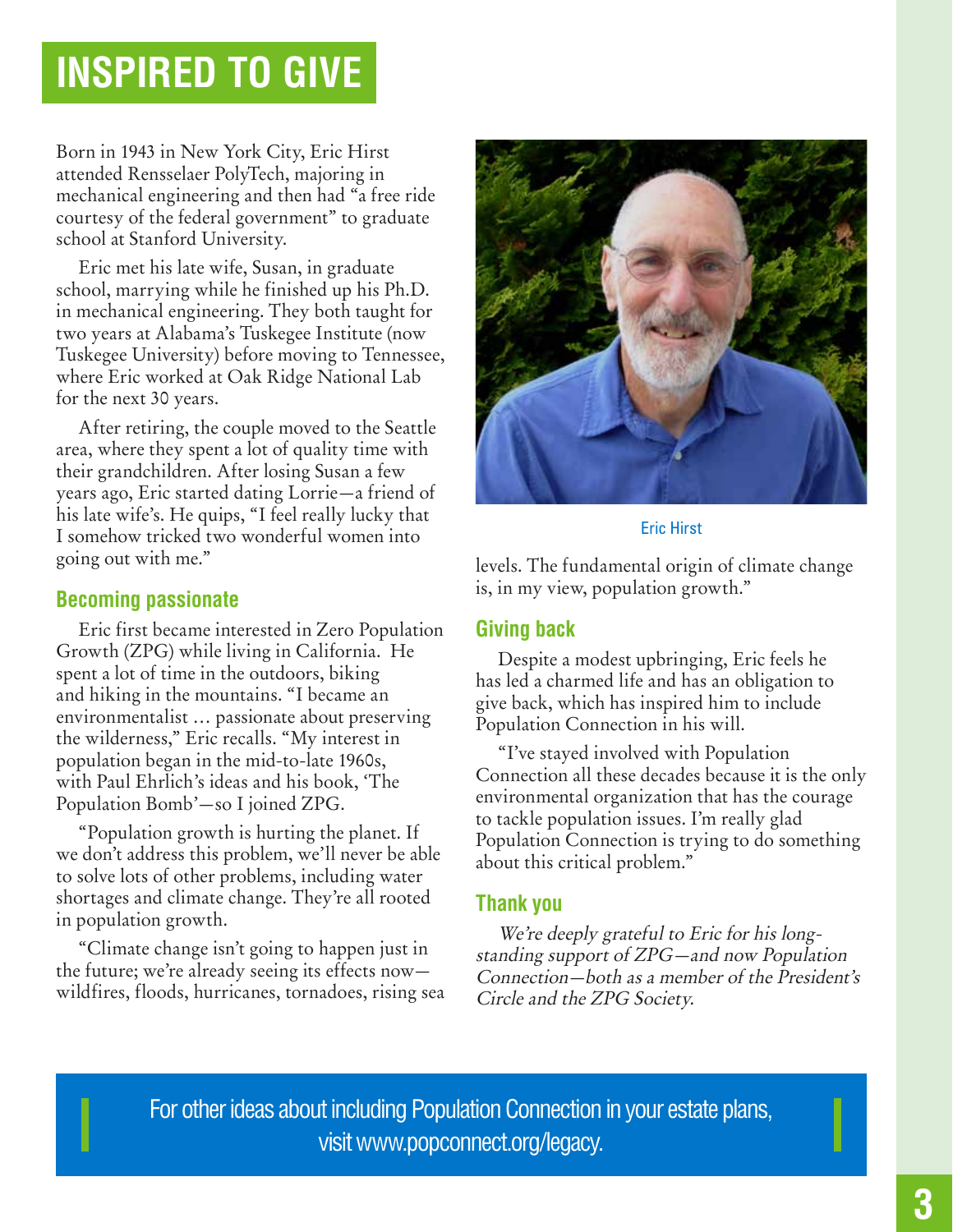### **INSPIRED TO GIVE**

Born in 1943 in New York City, Eric Hirst attended Rensselaer PolyTech, majoring in mechanical engineering and then had "a free ride courtesy of the federal government" to graduate school at Stanford University.

Eric met his late wife, Susan, in graduate school, marrying while he finished up his Ph.D. in mechanical engineering. They both taught for two years at Alabama's Tuskegee Institute (now Tuskegee University) before moving to Tennessee, where Eric worked at Oak Ridge National Lab for the next 30 years.

After retiring, the couple moved to the Seattle area, where they spent a lot of quality time with their grandchildren. After losing Susan a few years ago, Eric started dating Lorrie—a friend of his late wife's. He quips, "I feel really lucky that I somehow tricked two wonderful women into going out with me."

#### **Becoming passionate**

Eric first became interested in Zero Population Growth (ZPG) while living in California. He spent a lot of time in the outdoors, biking and hiking in the mountains. "I became an environmentalist … passionate about preserving the wilderness," Eric recalls. "My interest in population began in the mid-to-late 1960s, with Paul Ehrlich's ideas and his book, 'The Population Bomb'—so I joined ZPG.

"Population growth is hurting the planet. If we don't address this problem, we'll never be able to solve lots of other problems, including water shortages and climate change. They're all rooted in population growth.

"Climate change isn't going to happen just in the future; we're already seeing its effects now wildfires, floods, hurricanes, tornadoes, rising sea



#### Eric Hirst

levels. The fundamental origin of climate change is, in my view, population growth."

#### **Giving back**

Despite a modest upbringing, Eric feels he has led a charmed life and has an obligation to give back, which has inspired him to include Population Connection in his will.

"I've stayed involved with Population Connection all these decades because it is the only environmental organization that has the courage to tackle population issues. I'm really glad Population Connection is trying to do something about this critical problem."

### **Thank you**

We're deeply grateful to Eric for his longstanding support of ZPG—and now Population Connection—both as a member of the President's Circle and the ZPG Society.

For other ideas about including Population Connection in your estate plans, visit www.popconnect.org/legacy.